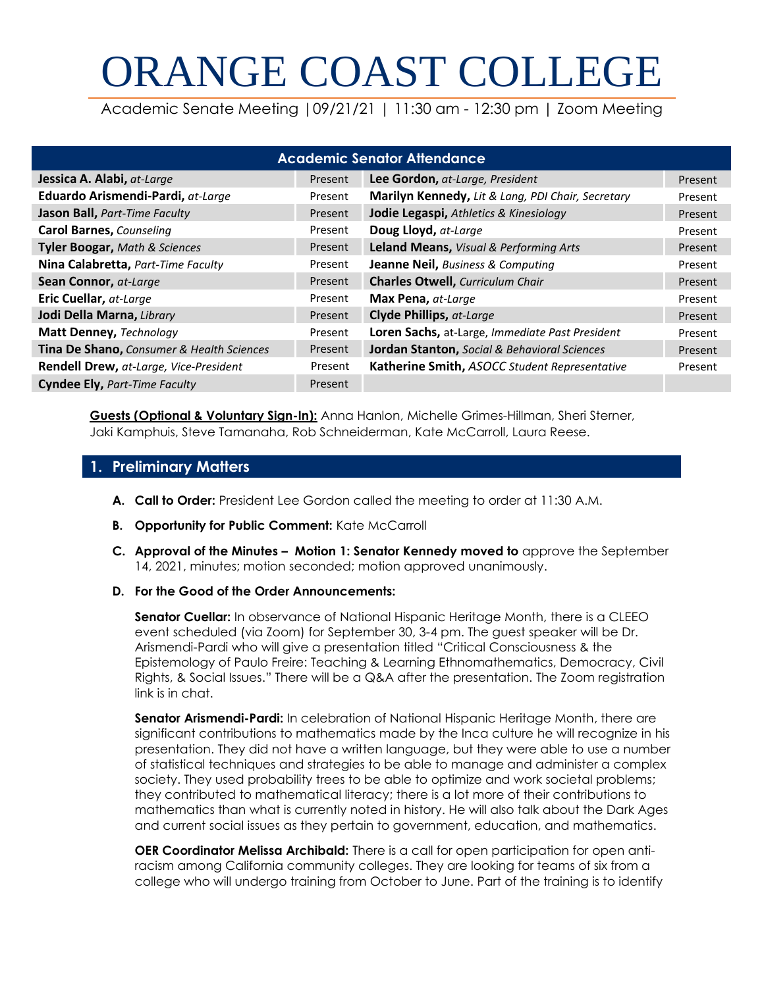# ORANGE COAST COLLEGE

Academic Senate Meeting |09/21/21 | 11:30 am - 12:30 pm | Zoom Meeting

| <b>Academic Senator Attendance</b>        |         |                                                   |         |  |
|-------------------------------------------|---------|---------------------------------------------------|---------|--|
| Jessica A. Alabi, at-Large                | Present | Lee Gordon, at-Large, President                   | Present |  |
| Eduardo Arismendi-Pardi, at-Large         | Present | Marilyn Kennedy, Lit & Lang, PDI Chair, Secretary | Present |  |
| Jason Ball, Part-Time Faculty             | Present | Jodie Legaspi, Athletics & Kinesiology            | Present |  |
| <b>Carol Barnes, Counseling</b>           | Present | Doug Lloyd, at-Large                              | Present |  |
| Tyler Boogar, Math & Sciences             | Present | Leland Means, Visual & Performing Arts            | Present |  |
| Nina Calabretta, Part-Time Faculty        | Present | Jeanne Neil, Business & Computing                 | Present |  |
| Sean Connor, at-Large                     | Present | <b>Charles Otwell, Curriculum Chair</b>           | Present |  |
| Eric Cuellar, at-Large                    | Present | Max Pena, at-Large                                | Present |  |
| Jodi Della Marna, Library                 | Present | <b>Clyde Phillips, at-Large</b>                   | Present |  |
| Matt Denney, Technology                   | Present | Loren Sachs, at-Large, Immediate Past President   | Present |  |
| Tina De Shano, Consumer & Health Sciences | Present | Jordan Stanton, Social & Behavioral Sciences      | Present |  |
| Rendell Drew, at-Large, Vice-President    | Present | Katherine Smith, ASOCC Student Representative     | Present |  |
| <b>Cyndee Ely, Part-Time Faculty</b>      | Present |                                                   |         |  |

**Guests (Optional & Voluntary Sign-In):** Anna Hanlon, Michelle Grimes-Hillman, Sheri Sterner, Jaki Kamphuis, Steve Tamanaha, Rob Schneiderman, Kate McCarroll, Laura Reese.

#### **1. Preliminary Matters**

- **A. Call to Order:** President Lee Gordon called the meeting to order at 11:30 A.M.
- **B. Opportunity for Public Comment:** Kate McCarroll
- **C. Approval of the Minutes – Motion 1: Senator Kennedy moved to** approve the September 14, 2021, minutes; motion seconded; motion approved unanimously.
- **D. For the Good of the Order Announcements:**

**Senator Cuellar:** In observance of National Hispanic Heritage Month, there is a CLEEO event scheduled (via Zoom) for September 30, 3-4 pm. The guest speaker will be Dr. Arismendi-Pardi who will give a presentation titled "Critical Consciousness & the Epistemology of Paulo Freire: Teaching & Learning Ethnomathematics, Democracy, Civil Rights, & Social Issues." There will be a Q&A after the presentation. The Zoom registration link is in chat.

**Senator Arismendi-Pardi:** In celebration of National Hispanic Heritage Month, there are significant contributions to mathematics made by the Inca culture he will recognize in his presentation. They did not have a written language, but they were able to use a number of statistical techniques and strategies to be able to manage and administer a complex society. They used probability trees to be able to optimize and work societal problems; they contributed to mathematical literacy; there is a lot more of their contributions to mathematics than what is currently noted in history. He will also talk about the Dark Ages and current social issues as they pertain to government, education, and mathematics.

**OER Coordinator Melissa Archibald:** There is a call for open participation for open antiracism among California community colleges. They are looking for teams of six from a college who will undergo training from October to June. Part of the training is to identify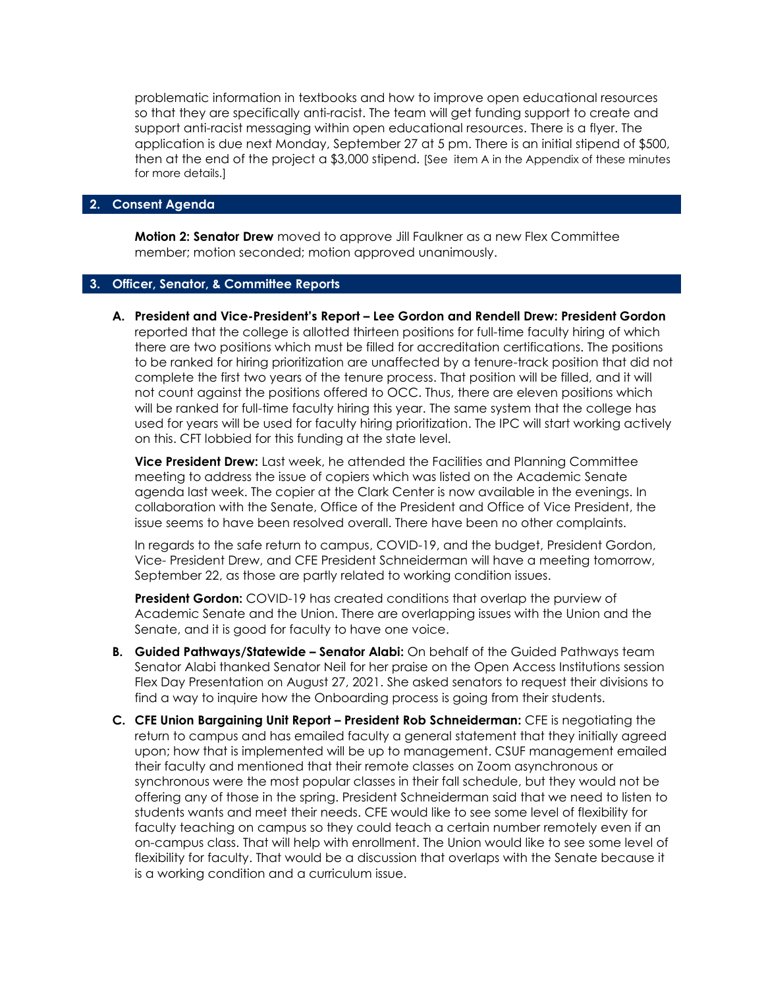problematic information in textbooks and how to improve open educational resources so that they are specifically anti-racist. The team will get funding support to create and support anti-racist messaging within open educational resources. There is a flyer. The application is due next Monday, September 27 at 5 pm. There is an initial stipend of \$500, then at the end of the project a \$3,000 stipend. [See item A in the Appendix of these minutes for more details.]

#### **2. Consent Agenda**

**Motion 2: Senator Drew** moved to approve Jill Faulkner as a new Flex Committee member; motion seconded; motion approved unanimously.

#### **3. Officer, Senator, & Committee Reports**

**A. President and Vice-President's Report – Lee Gordon and Rendell Drew: President Gordon**  reported that the college is allotted thirteen positions for full-time faculty hiring of which there are two positions which must be filled for accreditation certifications. The positions to be ranked for hiring prioritization are unaffected by a tenure-track position that did not complete the first two years of the tenure process. That position will be filled, and it will not count against the positions offered to OCC. Thus, there are eleven positions which will be ranked for full-time faculty hiring this year. The same system that the college has used for years will be used for faculty hiring prioritization. The IPC will start working actively on this. CFT lobbied for this funding at the state level.

**Vice President Drew:** Last week, he attended the Facilities and Planning Committee meeting to address the issue of copiers which was listed on the Academic Senate agenda last week. The copier at the Clark Center is now available in the evenings. In collaboration with the Senate, Office of the President and Office of Vice President, the issue seems to have been resolved overall. There have been no other complaints.

In regards to the safe return to campus, COVID-19, and the budget, President Gordon, Vice- President Drew, and CFE President Schneiderman will have a meeting tomorrow, September 22, as those are partly related to working condition issues.

**President Gordon:** COVID-19 has created conditions that overlap the purview of Academic Senate and the Union. There are overlapping issues with the Union and the Senate, and it is good for faculty to have one voice.

- **B. Guided Pathways/Statewide – Senator Alabi:** On behalf of the Guided Pathways team Senator Alabi thanked Senator Neil for her praise on the Open Access Institutions session Flex Day Presentation on August 27, 2021. She asked senators to request their divisions to find a way to inquire how the Onboarding process is going from their students.
- **C. CFE Union Bargaining Unit Report – President Rob Schneiderman:** CFE is negotiating the return to campus and has emailed faculty a general statement that they initially agreed upon; how that is implemented will be up to management. CSUF management emailed their faculty and mentioned that their remote classes on Zoom asynchronous or synchronous were the most popular classes in their fall schedule, but they would not be offering any of those in the spring. President Schneiderman said that we need to listen to students wants and meet their needs. CFE would like to see some level of flexibility for faculty teaching on campus so they could teach a certain number remotely even if an on-campus class. That will help with enrollment. The Union would like to see some level of flexibility for faculty. That would be a discussion that overlaps with the Senate because it is a working condition and a curriculum issue.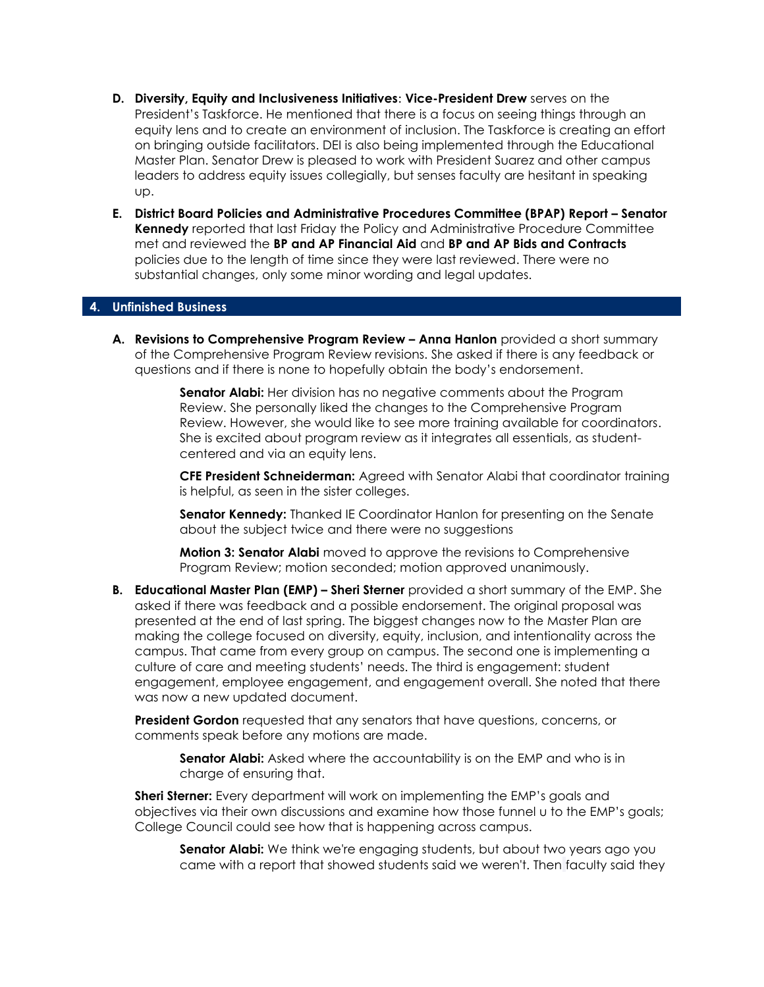- **D. Diversity, Equity and Inclusiveness Initiatives**: **Vice-President Drew** serves on the President's Taskforce. He mentioned that there is a focus on seeing things through an equity lens and to create an environment of inclusion. The Taskforce is creating an effort on bringing outside facilitators. DEI is also being implemented through the Educational Master Plan. Senator Drew is pleased to work with President Suarez and other campus leaders to address equity issues collegially, but senses faculty are hesitant in speaking up.
- **E. District Board Policies and Administrative Procedures Committee (BPAP) Report – Senator Kennedy** reported that last Friday the Policy and Administrative Procedure Committee met and reviewed the **BP and AP Financial Aid** and **BP and AP Bids and Contracts**  policies due to the length of time since they were last reviewed. There were no substantial changes, only some minor wording and legal updates.

#### **4. Unfinished Business**

**A. Revisions to Comprehensive Program Review – Anna Hanlon** provided a short summary of the Comprehensive Program Review revisions. She asked if there is any feedback or questions and if there is none to hopefully obtain the body's endorsement.

> **Senator Alabi:** Her division has no negative comments about the Program Review. She personally liked the changes to the Comprehensive Program Review. However, she would like to see more training available for coordinators. She is excited about program review as it integrates all essentials, as studentcentered and via an equity lens.

**CFE President Schneiderman:** Agreed with Senator Alabi that coordinator training is helpful, as seen in the sister colleges.

**Senator Kennedy:** Thanked IE Coordinator Hanlon for presenting on the Senate about the subject twice and there were no suggestions

**Motion 3: Senator Alabi** moved to approve the revisions to Comprehensive Program Review; motion seconded; motion approved unanimously.

**B. Educational Master Plan (EMP) – Sheri Sterner** provided a short summary of the EMP. She asked if there was feedback and a possible endorsement. The original proposal was presented at the end of last spring. The biggest changes now to the Master Plan are making the college focused on diversity, equity, inclusion, and intentionality across the campus. That came from every group on campus. The second one is implementing a culture of care and meeting students' needs. The third is engagement: student engagement, employee engagement, and engagement overall. She noted that there was now a new updated document.

**President Gordon** requested that any senators that have questions, concerns, or comments speak before any motions are made.

**Senator Alabi:** Asked where the accountability is on the EMP and who is in charge of ensuring that.

**Sheri Sterner:** Every department will work on implementing the EMP's goals and objectives via their own discussions and examine how those funnel u to the EMP's goals; College Council could see how that is happening across campus.

**Senator Alabi:** We think we're engaging students, but about two years ago you came with a report that showed students said we weren't. Then faculty said they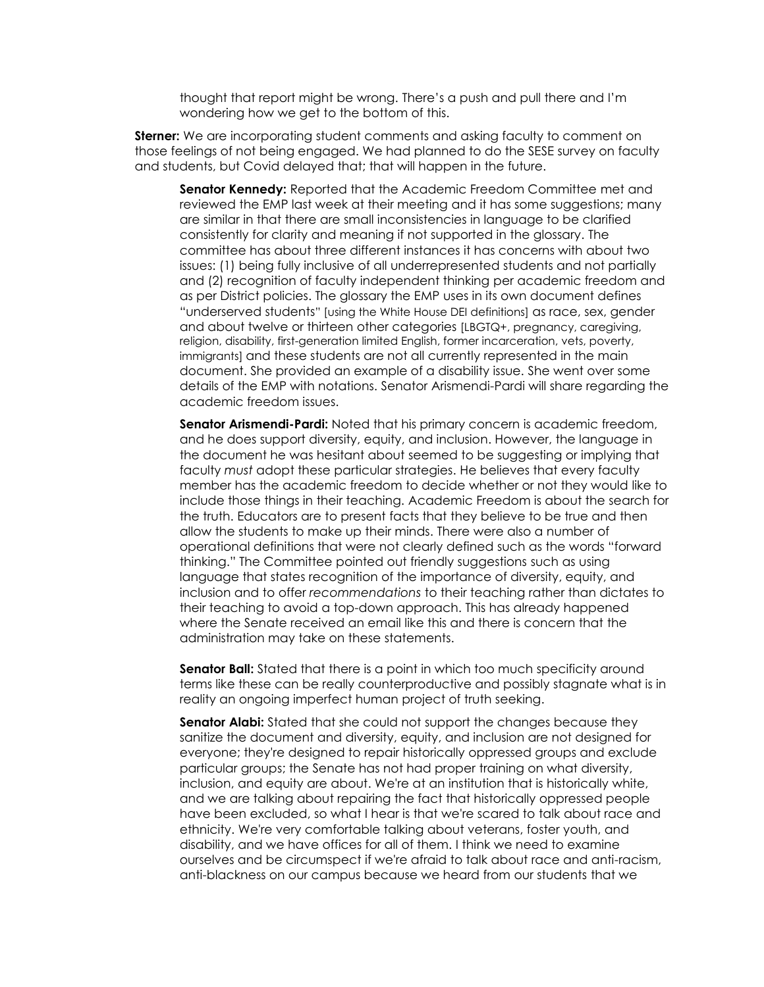thought that report might be wrong. There's a push and pull there and I'm wondering how we get to the bottom of this.

**Sterner:** We are incorporating student comments and asking faculty to comment on those feelings of not being engaged. We had planned to do the SESE survey on faculty and students, but Covid delayed that; that will happen in the future.

**Senator Kennedy:** Reported that the Academic Freedom Committee met and reviewed the EMP last week at their meeting and it has some suggestions; many are similar in that there are small inconsistencies in language to be clarified consistently for clarity and meaning if not supported in the glossary. The committee has about three different instances it has concerns with about two issues: (1) being fully inclusive of all underrepresented students and not partially and (2) recognition of faculty independent thinking per academic freedom and as per District policies. The glossary the EMP uses in its own document defines "underserved students" [using the White House DEI definitions] as race, sex, gender and about twelve or thirteen other categories [LBGTQ+, pregnancy, caregiving, religion, disability, first-generation limited English, former incarceration, vets, poverty, immigrants] and these students are not all currently represented in the main document. She provided an example of a disability issue. She went over some details of the EMP with notations. Senator Arismendi-Pardi will share regarding the academic freedom issues.

**Senator Arismendi-Pardi:** Noted that his primary concern is academic freedom, and he does support diversity, equity, and inclusion. However, the language in the document he was hesitant about seemed to be suggesting or implying that faculty *must* adopt these particular strategies. He believes that every faculty member has the academic freedom to decide whether or not they would like to include those things in their teaching. Academic Freedom is about the search for the truth. Educators are to present facts that they believe to be true and then allow the students to make up their minds. There were also a number of operational definitions that were not clearly defined such as the words "forward thinking." The Committee pointed out friendly suggestions such as using language that states recognition of the importance of diversity, equity, and inclusion and to offer *recommendations* to their teaching rather than dictates to their teaching to avoid a top-down approach. This has already happened where the Senate received an email like this and there is concern that the administration may take on these statements.

**Senator Ball:** Stated that there is a point in which too much specificity around terms like these can be really counterproductive and possibly stagnate what is in reality an ongoing imperfect human project of truth seeking.

**Senator Alabi:** Stated that she could not support the changes because they sanitize the document and diversity, equity, and inclusion are not designed for everyone; they're designed to repair historically oppressed groups and exclude particular groups; the Senate has not had proper training on what diversity, inclusion, and equity are about. We're at an institution that is historically white, and we are talking about repairing the fact that historically oppressed people have been excluded, so what I hear is that we're scared to talk about race and ethnicity. We're very comfortable talking about veterans, foster youth, and disability, and we have offices for all of them. I think we need to examine ourselves and be circumspect if we're afraid to talk about race and anti-racism, anti-blackness on our campus because we heard from our students that we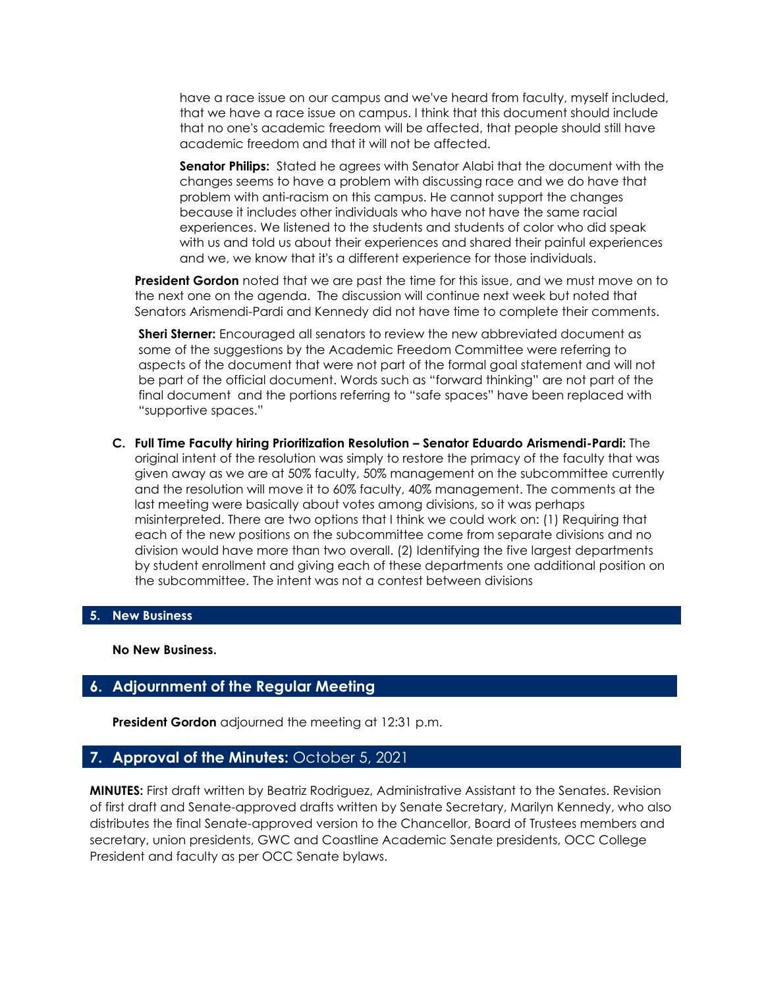have a race issue on our campus and we've heard from faculty, myself included, that we have a race issue on campus. I think that this document should include that no one's academic freedom will be affected, that people should still have academic freedom and that it will not be affected.

**Senator Philips:** Stated he agrees with Senator Alabi that the document with the changes seems to have a problem with discussing race and we do have that problem with anti-racism on this campus. He cannot support the changes because it includes other individuals who have not have the same racial experiences. We listened to the students and students of color who did speak with us and told us about their experiences and shared their painful experiences and we, we know that it's a different experience for those individuals.

**President Gordon** noted that we are past the time for this issue, and we must move on to the next one on the agenda. The discussion will continue next week but noted that Senators Arismendi-Pardi and Kennedy did not have time to complete their comments.

**Sheri Sterner:** Encouraged all senators to review the new abbreviated document as some of the suggestions by the Academic Freedom Committee were referring to aspects of the document that were not part of the formal goal statement and will not be part of the official document. Words such as "forward thinking" are not part of the final document and the portions referring to "safe spaces" have been replaced with "supportive spaces."

**C. Full Time Faculty hiring Prioritization Resolution – Senator Eduardo Arismendi-Pardi:** The original intent of the resolution was simply to restore the primacy of the faculty that was given away as we are at 50% faculty, 50% management on the subcommittee currently and the resolution will move it to 60% faculty, 40% management. The comments at the last meeting were basically about votes among divisions, so it was perhaps misinterpreted. There are two options that I think we could work on: (1) Requiring that each of the new positions on the subcommittee come from separate divisions and no division would have more than two overall. (2) Identifying the five largest departments by student enrollment and giving each of these departments one additional position on the subcommittee. The intent was not a contest between divisions

#### **5. New Business**

**No New Business.** 

#### **6. Adjournment of the Regular Meeting**

**President Gordon** adjourned the meeting at 12:31 p.m.

#### **7. Approval of the Minutes:** October 5, 2021

**MINUTES:** First draft written by Beatriz Rodriguez, Administrative Assistant to the Senates. Revision of first draft and Senate-approved drafts written by Senate Secretary, Marilyn Kennedy, who also distributes the final Senate-approved version to the Chancellor, Board of Trustees members and secretary, union presidents, GWC and Coastline Academic Senate presidents, OCC College President and faculty as per OCC Senate bylaws.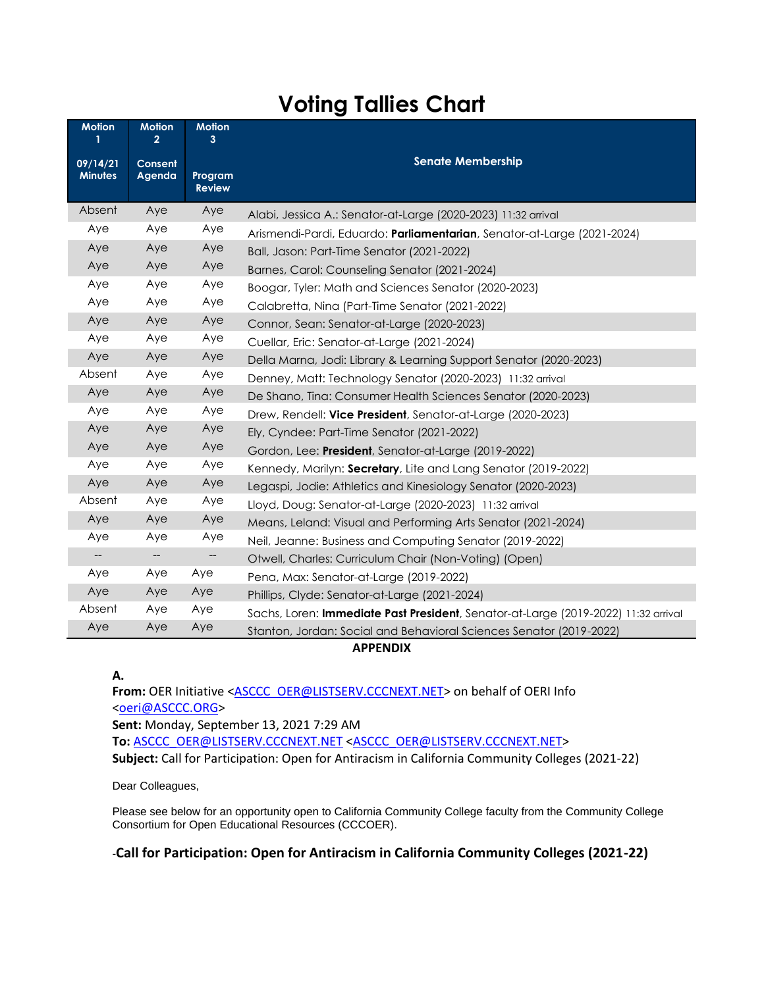### **Voting Tallies Chart**

| <b>Motion</b>              | <b>Motion</b><br>$\overline{2}$ | <b>Motion</b><br>3       |                                                                                    |
|----------------------------|---------------------------------|--------------------------|------------------------------------------------------------------------------------|
| 09/14/21<br><b>Minutes</b> | Consent<br>Agenda               | Program<br><b>Review</b> | <b>Senate Membership</b>                                                           |
| Absent                     | Aye                             | Aye                      | Alabi, Jessica A.: Senator-at-Large (2020-2023) 11:32 arrival                      |
| Aye                        | Aye                             | Aye                      | Arismendi-Pardi, Eduardo: Parliamentarian, Senator-at-Large (2021-2024)            |
| Aye                        | Aye                             | Aye                      | Ball, Jason: Part-Time Senator (2021-2022)                                         |
| Aye                        | Aye                             | Aye                      | Barnes, Carol: Counseling Senator (2021-2024)                                      |
| Aye                        | Aye                             | Aye                      | Boogar, Tyler: Math and Sciences Senator (2020-2023)                               |
| Aye                        | Aye                             | Aye                      | Calabretta, Nina (Part-Time Senator (2021-2022)                                    |
| Aye                        | Aye                             | Aye                      | Connor, Sean: Senator-at-Large (2020-2023)                                         |
| Aye                        | Aye                             | Aye                      | Cuellar, Eric: Senator-at-Large (2021-2024)                                        |
| Aye                        | Aye                             | Aye                      | Della Marna, Jodi: Library & Learning Support Senator (2020-2023)                  |
| Absent                     | Aye                             | Aye                      | Denney, Matt: Technology Senator (2020-2023) 11:32 arrival                         |
| Aye                        | Aye                             | Aye                      | De Shano, Tina: Consumer Health Sciences Senator (2020-2023)                       |
| Aye                        | Aye                             | Aye                      | Drew, Rendell: Vice President, Senator-at-Large (2020-2023)                        |
| Aye                        | Aye                             | Aye                      | Ely, Cyndee: Part-Time Senator (2021-2022)                                         |
| Aye                        | Aye                             | Aye                      | Gordon, Lee: President, Senator-at-Large (2019-2022)                               |
| Aye                        | Aye                             | Aye                      | Kennedy, Marilyn: Secretary, Lite and Lang Senator (2019-2022)                     |
| Aye                        | Aye                             | Aye                      | Legaspi, Jodie: Athletics and Kinesiology Senator (2020-2023)                      |
| Absent                     | Aye                             | Aye                      | Lloyd, Doug: Senator-at-Large (2020-2023) 11:32 arrival                            |
| Aye                        | Aye                             | Aye                      | Means, Leland: Visual and Performing Arts Senator (2021-2024)                      |
| Aye                        | Aye                             | Aye                      | Neil, Jeanne: Business and Computing Senator (2019-2022)                           |
| $-\!$                      | $-\!$                           | --                       | Otwell, Charles: Curriculum Chair (Non-Voting) (Open)                              |
| Aye                        | Aye                             | Aye                      | Pena, Max: Senator-at-Large (2019-2022)                                            |
| Aye                        | Aye                             | Aye                      | Phillips, Clyde: Senator-at-Large (2021-2024)                                      |
| Absent                     | Aye                             | Aye                      | Sachs, Loren: Immediate Past President, Senator-at-Large (2019-2022) 11:32 arrival |
| Aye                        | Aye                             | Aye                      | Stanton, Jordan: Social and Behavioral Sciences Senator (2019-2022)                |

#### **APPENDIX**

#### **A.**

From: OER Initiative [<ASCCC\\_OER@LISTSERV.CCCNEXT.NET>](mailto:ASCCC_OER@LISTSERV.CCCNEXT.NET) on behalf of OERI Info [<oeri@ASCCC.ORG>](mailto:oeri@ASCCC.ORG) **Sent:** Monday, September 13, 2021 7:29 AM **To:** [ASCCC\\_OER@LISTSERV.CCCNEXT.NET](mailto:ASCCC_OER@LISTSERV.CCCNEXT.NET) [<ASCCC\\_OER@LISTSERV.CCCNEXT.NET>](mailto:ASCCC_OER@LISTSERV.CCCNEXT.NET) **Subject:** Call for Participation: Open for Antiracism in California Community Colleges (2021-22)

Dear Colleagues,

Please see below for an opportunity open to California Community College faculty from the Community College Consortium for Open Educational Resources (CCCOER).

#### -**Call for Participation: Open for Antiracism in California Community Colleges (2021-22)**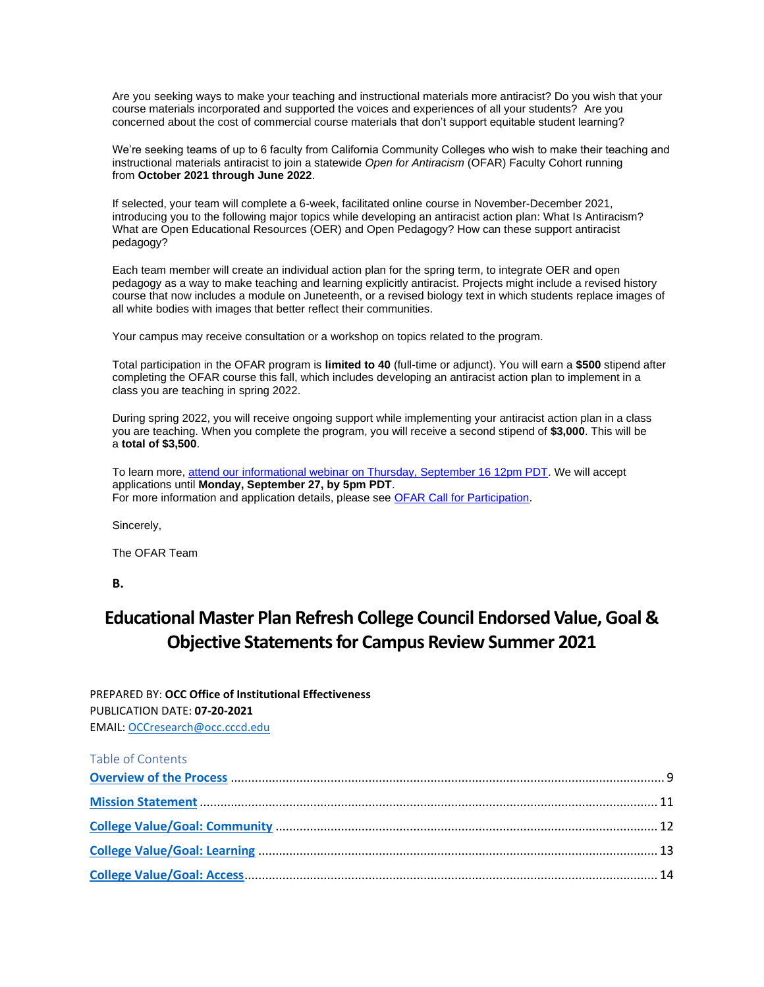Are you seeking ways to make your teaching and instructional materials more antiracist? Do you wish that your course materials incorporated and supported the voices and experiences of all your students? Are you concerned about the cost of commercial course materials that don't support equitable student learning?

We're seeking teams of up to 6 faculty from California Community Colleges who wish to make their teaching and instructional materials antiracist to join a statewide *Open for Antiracism* (OFAR) Faculty Cohort running from **October 2021 through June 2022**.

If selected, your team will complete a 6-week, facilitated online course in November-December 2021, introducing you to the following major topics while developing an antiracist action plan: What Is Antiracism? What are Open Educational Resources (OER) and Open Pedagogy? How can these support antiracist pedagogy?

Each team member will create an individual action plan for the spring term, to integrate OER and open pedagogy as a way to make teaching and learning explicitly antiracist. Projects might include a revised history course that now includes a module on Juneteenth, or a revised biology text in which students replace images of all white bodies with images that better reflect their communities.

Your campus may receive consultation or a workshop on topics related to the program.

Total participation in the OFAR program is **limited to 40** (full-time or adjunct). You will earn a **\$500** stipend after completing the OFAR course this fall, which includes developing an antiracist action plan to implement in a class you are teaching in spring 2022.

During spring 2022, you will receive ongoing support while implementing your antiracist action plan in a class you are teaching. When you complete the program, you will receive a second stipend of **\$3,000**. This will be a **total of \$3,500**.

To learn more, [attend our informational webinar on Thursday, September 16 12pm PDT.](https://urldefense.proofpoint.com/v2/url?u=https-3A__us02web.zoom.us_meeting_register_tZYqfuGsqj4uG9BYWpPSEciUBT6eRVnSOFbG&d=DwMFaQ&c=fH4LSaxSgjWoCqli9ejpOKSimqfdcqwvdi9ZfjV67eI&r=dI45sgAFFJqUsRrP_mYOo9rO82dNA-h-dnWIN45twQo&m=z6UX5lwyahFaK_OzcLoMGH2mMhzU6P-s_nFvc1M02no&s=2KMCt7KKGbDvqPnY7Ga6_0NxCEG8U-JPzWtUY-EkzlQ&e=) We will accept applications until **Monday, September 27, by 5pm PDT**. For more information and application details, please see [OFAR Call for Participation.](https://urldefense.proofpoint.com/v2/url?u=https-3A__www.cccoer.org_ofar-2Dapplication_&d=DwMFaQ&c=fH4LSaxSgjWoCqli9ejpOKSimqfdcqwvdi9ZfjV67eI&r=dI45sgAFFJqUsRrP_mYOo9rO82dNA-h-dnWIN45twQo&m=z6UX5lwyahFaK_OzcLoMGH2mMhzU6P-s_nFvc1M02no&s=X2t6APkVsKdYHfzOwNMd8WQQHR3ru1aUQbP-hcx2jpo&e=)

Sincerely,

The OFAR Team

**B.**

### **Educational Master Plan Refresh College Council Endorsed Value, Goal & Objective Statements for Campus Review Summer 2021**

| PREPARED BY: OCC Office of Institutional Effectiveness |
|--------------------------------------------------------|
| PUBLICATION DATE: <b>07-20-2021</b>                    |
| EMAIL: OCCresearch@occ.cccd.edu                        |

| Table of Contents |  |
|-------------------|--|
|                   |  |
|                   |  |
|                   |  |
|                   |  |
|                   |  |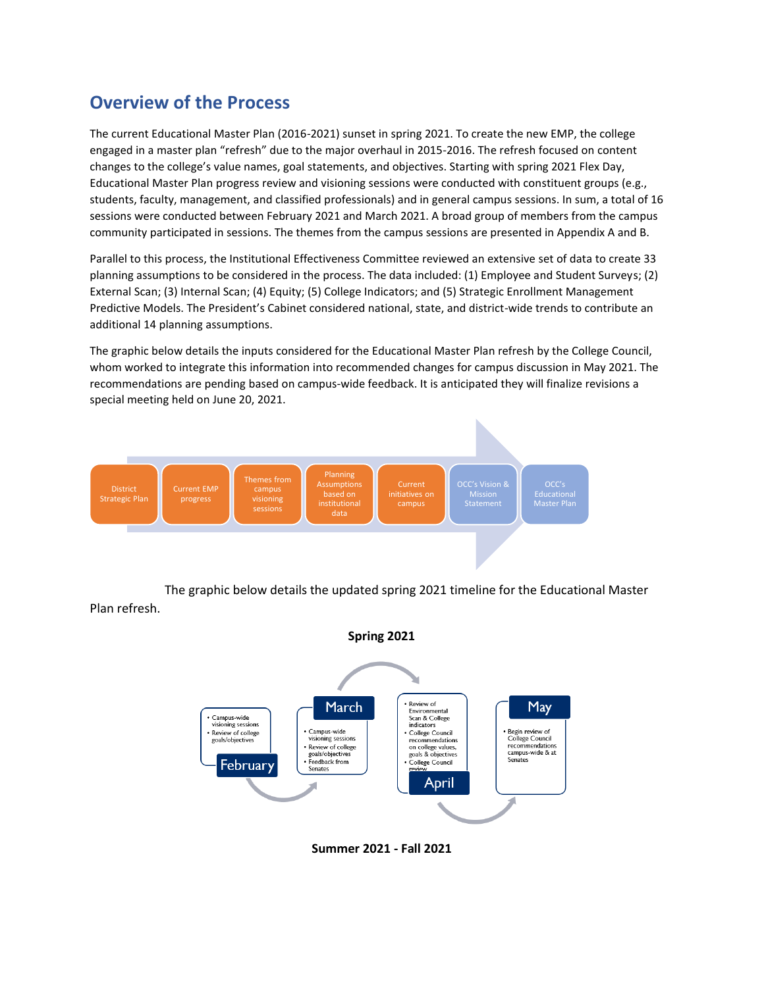### <span id="page-8-0"></span>**Overview of the Process**

The current Educational Master Plan (2016-2021) sunset in spring 2021. To create the new EMP, the college engaged in a master plan "refresh" due to the major overhaul in 2015-2016. The refresh focused on content changes to the college's value names, goal statements, and objectives. Starting with spring 2021 Flex Day, Educational Master Plan progress review and visioning sessions were conducted with constituent groups (e.g., students, faculty, management, and classified professionals) and in general campus sessions. In sum, a total of 16 sessions were conducted between February 2021 and March 2021. A broad group of members from the campus community participated in sessions. The themes from the campus sessions are presented in Appendix A and B.

Parallel to this process, the Institutional Effectiveness Committee reviewed an extensive set of data to create 33 planning assumptions to be considered in the process. The data included: (1) Employee and Student Surveys; (2) External Scan; (3) Internal Scan; (4) Equity; (5) College Indicators; and (5) Strategic Enrollment Management Predictive Models. The President's Cabinet considered national, state, and district-wide trends to contribute an additional 14 planning assumptions.

The graphic below details the inputs considered for the Educational Master Plan refresh by the College Council, whom worked to integrate this information into recommended changes for campus discussion in May 2021. The recommendations are pending based on campus-wide feedback. It is anticipated they will finalize revisions a special meeting held on June 20, 2021.



The graphic below details the updated spring 2021 timeline for the Educational Master Plan refresh.



**Summer 2021 - Fall 2021**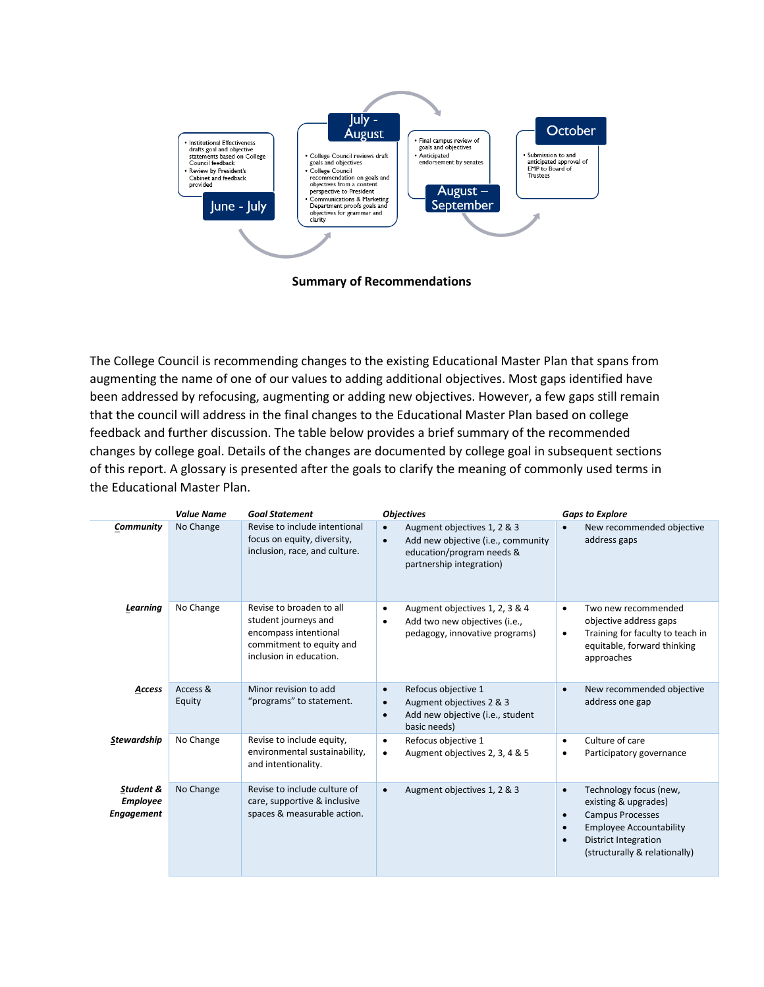

**Summary of Recommendations**

The College Council is recommending changes to the existing Educational Master Plan that spans from augmenting the name of one of our values to adding additional objectives. Most gaps identified have been addressed by refocusing, augmenting or adding new objectives. However, a few gaps still remain that the council will address in the final changes to the Educational Master Plan based on college feedback and further discussion. The table below provides a brief summary of the recommended changes by college goal. Details of the changes are documented by college goal in subsequent sections of this report. A glossary is presented after the goals to clarify the meaning of commonly used terms in the Educational Master Plan.

|                                                   | <b>Value Name</b>  | <b>Goal Statement</b>                                                                                                            | <b>Objectives</b>                                                                                                                          | <b>Gaps to Explore</b>                                                                                                                                                                                                          |
|---------------------------------------------------|--------------------|----------------------------------------------------------------------------------------------------------------------------------|--------------------------------------------------------------------------------------------------------------------------------------------|---------------------------------------------------------------------------------------------------------------------------------------------------------------------------------------------------------------------------------|
| Community                                         | No Change          | Revise to include intentional<br>focus on equity, diversity,<br>inclusion, race, and culture.                                    | Augment objectives 1, 2 & 3<br>Add new objective (i.e., community<br>$\bullet$<br>education/program needs &<br>partnership integration)    | New recommended objective<br>$\bullet$<br>address gaps                                                                                                                                                                          |
| Learning                                          | No Change          | Revise to broaden to all<br>student journeys and<br>encompass intentional<br>commitment to equity and<br>inclusion in education. | Augment objectives 1, 2, 3 & 4<br>$\bullet$<br>Add two new objectives (i.e.,<br>$\bullet$<br>pedagogy, innovative programs)                | Two new recommended<br>$\bullet$<br>objective address gaps<br>Training for faculty to teach in<br>$\bullet$<br>equitable, forward thinking<br>approaches                                                                        |
| Access                                            | Access &<br>Equity | Minor revision to add<br>"programs" to statement.                                                                                | Refocus objective 1<br>$\bullet$<br>Augment objectives 2 & 3<br>$\bullet$<br>Add new objective (i.e., student<br>$\bullet$<br>basic needs) | New recommended objective<br>$\bullet$<br>address one gap                                                                                                                                                                       |
| <b>Stewardship</b>                                | No Change          | Revise to include equity,<br>environmental sustainability,<br>and intentionality.                                                | Refocus objective 1<br>$\bullet$<br>Augment objectives 2, 3, 4 & 5                                                                         | Culture of care<br>$\bullet$<br>Participatory governance<br>٠                                                                                                                                                                   |
| Student &<br><b>Employee</b><br><b>Engagement</b> | No Change          | Revise to include culture of<br>care, supportive & inclusive<br>spaces & measurable action.                                      | Augment objectives 1, 2 & 3<br>$\bullet$                                                                                                   | Technology focus (new,<br>$\bullet$<br>existing & upgrades)<br><b>Campus Processes</b><br>$\bullet$<br><b>Employee Accountability</b><br>$\bullet$<br><b>District Integration</b><br>$\bullet$<br>(structurally & relationally) |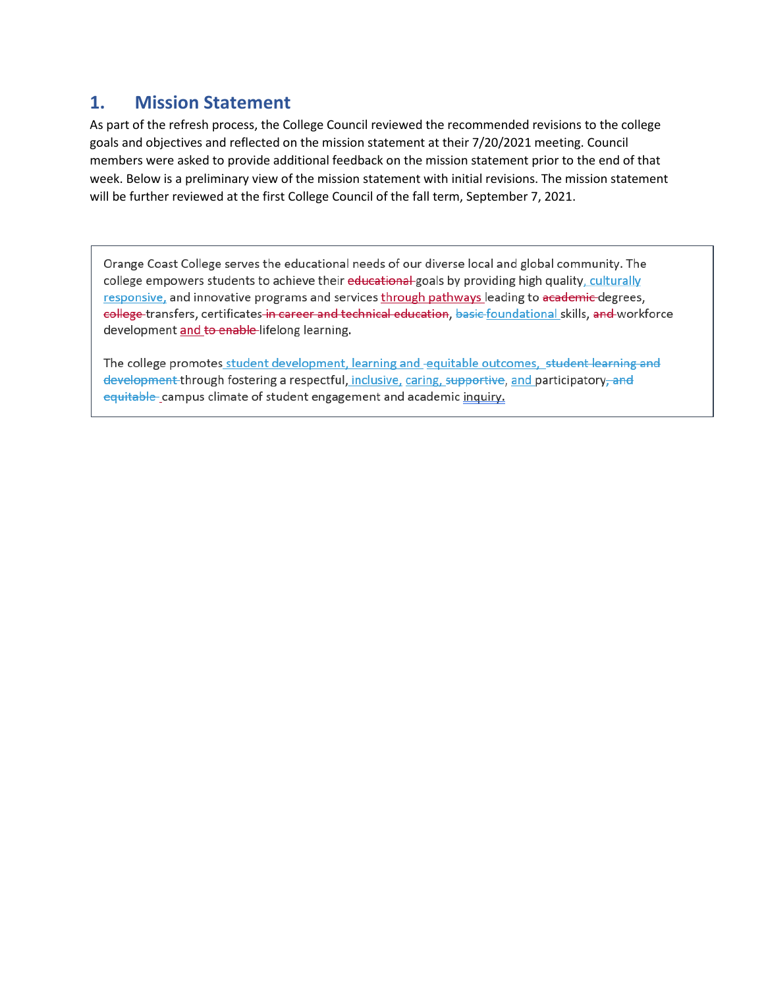### <span id="page-10-0"></span>**1. Mission Statement**

As part of the refresh process, the College Council reviewed the recommended revisions to the college goals and objectives and reflected on the mission statement at their 7/20/2021 meeting. Council members were asked to provide additional feedback on the mission statement prior to the end of that week. Below is a preliminary view of the mission statement with initial revisions. The mission statement will be further reviewed at the first College Council of the fall term, September 7, 2021.

Orange Coast College serves the educational needs of our diverse local and global community. The college empowers students to achieve their educational-goals by providing high quality, culturally responsive, and innovative programs and services through pathways leading to academic degrees, college transfers, certificates in career and technical education, basic foundational skills, and workforce development and to enable-lifelong learning.

The college promotes student development, learning and -equitable outcomes, student learning and development through fostering a respectful, inclusive, caring, supportive, and participatory, and equitable campus climate of student engagement and academic inquiry.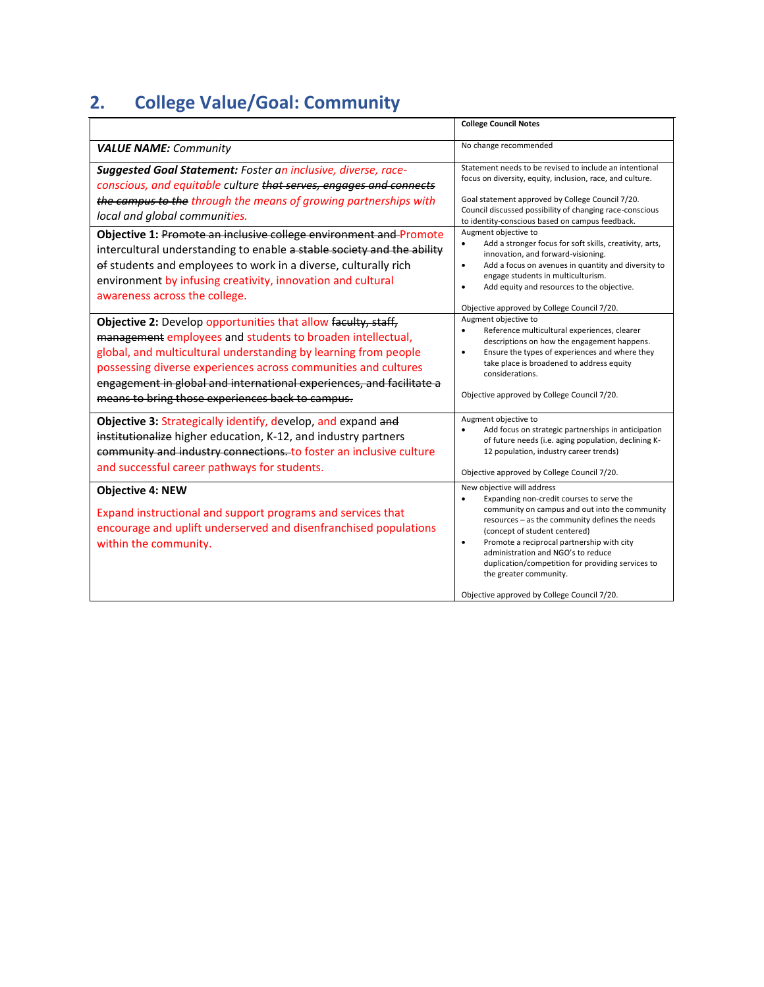# <span id="page-11-0"></span>**2. College Value/Goal: Community**

|                                                                                                                                                                                                                                                                                                                                                                                                     | <b>College Council Notes</b>                                                                                                                                                                                                                                                                                                                                                                                                                             |  |
|-----------------------------------------------------------------------------------------------------------------------------------------------------------------------------------------------------------------------------------------------------------------------------------------------------------------------------------------------------------------------------------------------------|----------------------------------------------------------------------------------------------------------------------------------------------------------------------------------------------------------------------------------------------------------------------------------------------------------------------------------------------------------------------------------------------------------------------------------------------------------|--|
| <b>VALUE NAME: Community</b>                                                                                                                                                                                                                                                                                                                                                                        | No change recommended                                                                                                                                                                                                                                                                                                                                                                                                                                    |  |
| Suggested Goal Statement: Foster an inclusive, diverse, race-<br>conscious, and equitable culture that serves, engages and connects<br>the campus to the through the means of growing partnerships with<br>local and global communities.                                                                                                                                                            | Statement needs to be revised to include an intentional<br>focus on diversity, equity, inclusion, race, and culture.<br>Goal statement approved by College Council 7/20.<br>Council discussed possibility of changing race-conscious<br>to identity-conscious based on campus feedback.                                                                                                                                                                  |  |
| Objective 1: Promote an inclusive college environment and Promote<br>intercultural understanding to enable a stable society and the ability<br>of students and employees to work in a diverse, culturally rich<br>environment by infusing creativity, innovation and cultural<br>awareness across the college.                                                                                      | Augment objective to<br>Add a stronger focus for soft skills, creativity, arts,<br>$\bullet$<br>innovation, and forward-visioning.<br>Add a focus on avenues in quantity and diversity to<br>$\bullet$<br>engage students in multiculturism.<br>Add equity and resources to the objective.<br>$\bullet$<br>Objective approved by College Council 7/20.                                                                                                   |  |
| <b>Objective 2:</b> Develop opportunities that allow faculty, staff,<br>management employees and students to broaden intellectual,<br>global, and multicultural understanding by learning from people<br>possessing diverse experiences across communities and cultures<br>engagement in global and international experiences, and facilitate a<br>means to bring those experiences back to campus. | Augment objective to<br>Reference multicultural experiences, clearer<br>$\bullet$<br>descriptions on how the engagement happens.<br>Ensure the types of experiences and where they<br>٠<br>take place is broadened to address equity<br>considerations.<br>Objective approved by College Council 7/20.                                                                                                                                                   |  |
| Objective 3: Strategically identify, develop, and expand and<br>institutionalize higher education, K-12, and industry partners<br>community and industry connections. to foster an inclusive culture<br>and successful career pathways for students.                                                                                                                                                | Augment objective to<br>Add focus on strategic partnerships in anticipation<br>of future needs (i.e. aging population, declining K-<br>12 population, industry career trends)<br>Objective approved by College Council 7/20.                                                                                                                                                                                                                             |  |
| <b>Objective 4: NEW</b><br>Expand instructional and support programs and services that<br>encourage and uplift underserved and disenfranchised populations<br>within the community.                                                                                                                                                                                                                 | New objective will address<br>$\bullet$<br>Expanding non-credit courses to serve the<br>community on campus and out into the community<br>resources - as the community defines the needs<br>(concept of student centered)<br>Promote a reciprocal partnership with city<br>$\bullet$<br>administration and NGO's to reduce<br>duplication/competition for providing services to<br>the greater community.<br>Objective approved by College Council 7/20. |  |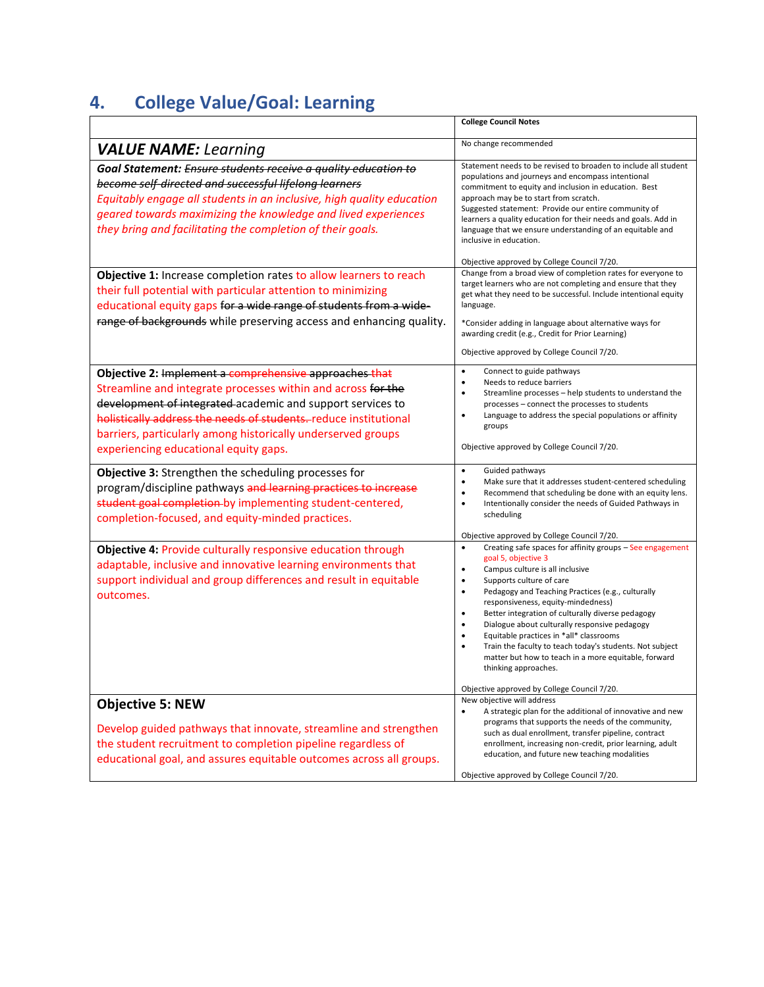# <span id="page-12-0"></span>**4. College Value/Goal: Learning**

|                                                                                                                                                                                                                                                                                                                                                                                                                                                                                                                                                                                                                  | <b>College Council Notes</b>                                                                                                                                                                                                                                                                                                                                                                                                                                                                                                                                                                                                                                                                                                                                        |
|------------------------------------------------------------------------------------------------------------------------------------------------------------------------------------------------------------------------------------------------------------------------------------------------------------------------------------------------------------------------------------------------------------------------------------------------------------------------------------------------------------------------------------------------------------------------------------------------------------------|---------------------------------------------------------------------------------------------------------------------------------------------------------------------------------------------------------------------------------------------------------------------------------------------------------------------------------------------------------------------------------------------------------------------------------------------------------------------------------------------------------------------------------------------------------------------------------------------------------------------------------------------------------------------------------------------------------------------------------------------------------------------|
| <b>VALUE NAME:</b> Learning                                                                                                                                                                                                                                                                                                                                                                                                                                                                                                                                                                                      | No change recommended                                                                                                                                                                                                                                                                                                                                                                                                                                                                                                                                                                                                                                                                                                                                               |
| Goal Statement: Ensure students receive a quality education to<br>become self-directed and successful lifelong learners<br>Equitably engage all students in an inclusive, high quality education<br>geared towards maximizing the knowledge and lived experiences<br>they bring and facilitating the completion of their goals.<br>Objective 1: Increase completion rates to allow learners to reach<br>their full potential with particular attention to minimizing<br>educational equity gaps for a wide range of students from a wide-<br>range of backgrounds while preserving access and enhancing quality. | Statement needs to be revised to broaden to include all student<br>populations and journeys and encompass intentional<br>commitment to equity and inclusion in education. Best<br>approach may be to start from scratch.<br>Suggested statement: Provide our entire community of<br>learners a quality education for their needs and goals. Add in<br>language that we ensure understanding of an equitable and<br>inclusive in education.<br>Objective approved by College Council 7/20.<br>Change from a broad view of completion rates for everyone to<br>target learners who are not completing and ensure that they<br>get what they need to be successful. Include intentional equity<br>language.<br>*Consider adding in language about alternative ways for |
|                                                                                                                                                                                                                                                                                                                                                                                                                                                                                                                                                                                                                  | awarding credit (e.g., Credit for Prior Learning)<br>Objective approved by College Council 7/20.                                                                                                                                                                                                                                                                                                                                                                                                                                                                                                                                                                                                                                                                    |
| Objective 2: Implement a comprehensive approaches that<br>Streamline and integrate processes within and across for the<br>development of integrated academic and support services to<br>holistically address the needs of students. reduce institutional<br>barriers, particularly among historically underserved groups<br>experiencing educational equity gaps.                                                                                                                                                                                                                                                | Connect to guide pathways<br>$\bullet$<br>Needs to reduce barriers<br>$\bullet$<br>Streamline processes - help students to understand the<br>$\bullet$<br>processes - connect the processes to students<br>Language to address the special populations or affinity<br>٠<br>groups<br>Objective approved by College Council 7/20.                                                                                                                                                                                                                                                                                                                                                                                                                                    |
| Objective 3: Strengthen the scheduling processes for<br>program/discipline pathways and learning practices to increase<br>student goal completion-by implementing student-centered,<br>completion-focused, and equity-minded practices.                                                                                                                                                                                                                                                                                                                                                                          | Guided pathways<br>$\bullet$<br>Make sure that it addresses student-centered scheduling<br>$\bullet$<br>$\bullet$<br>Recommend that scheduling be done with an equity lens.<br>Intentionally consider the needs of Guided Pathways in<br>$\bullet$<br>scheduling<br>Objective approved by College Council 7/20.                                                                                                                                                                                                                                                                                                                                                                                                                                                     |
| Objective 4: Provide culturally responsive education through<br>adaptable, inclusive and innovative learning environments that<br>support individual and group differences and result in equitable<br>outcomes.                                                                                                                                                                                                                                                                                                                                                                                                  | Creating safe spaces for affinity groups - See engagement<br>$\bullet$<br>goal 5, objective 3<br>$\bullet$<br>Campus culture is all inclusive<br>Supports culture of care<br>$\bullet$<br>$\bullet$<br>Pedagogy and Teaching Practices (e.g., culturally<br>responsiveness, equity-mindedness)<br>$\bullet$<br>Better integration of culturally diverse pedagogy<br>Dialogue about culturally responsive pedagogy<br>$\bullet$<br>Equitable practices in *all* classrooms<br>$\bullet$<br>Train the faculty to teach today's students. Not subject<br>$\bullet$<br>matter but how to teach in a more equitable, forward<br>thinking approaches.                                                                                                                     |
| <b>Objective 5: NEW</b><br>Develop guided pathways that innovate, streamline and strengthen<br>the student recruitment to completion pipeline regardless of<br>educational goal, and assures equitable outcomes across all groups.                                                                                                                                                                                                                                                                                                                                                                               | Objective approved by College Council 7/20.<br>New objective will address<br>A strategic plan for the additional of innovative and new<br>٠<br>programs that supports the needs of the community,<br>such as dual enrollment, transfer pipeline, contract<br>enrollment, increasing non-credit, prior learning, adult<br>education, and future new teaching modalities<br>Objective approved by College Council 7/20.                                                                                                                                                                                                                                                                                                                                               |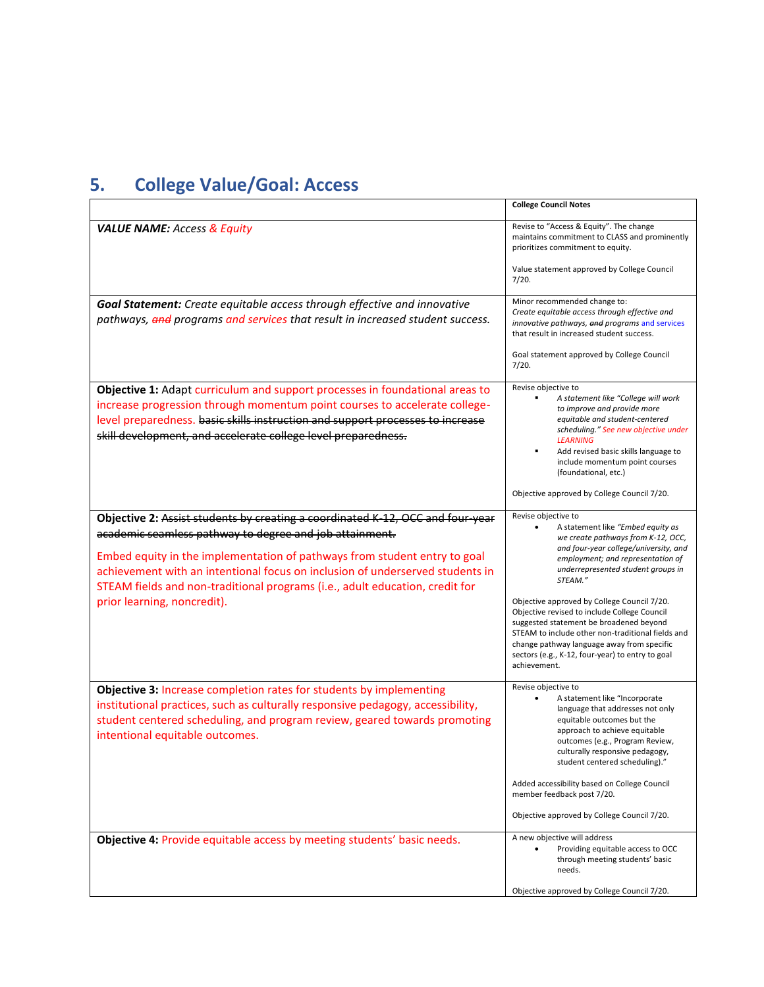# <span id="page-13-0"></span>**5. College Value/Goal: Access**

|                                                                                                                                                                                                                                                                                                                                                                                         | <b>College Council Notes</b>                                                                                                                                                                                                                                                                                  |
|-----------------------------------------------------------------------------------------------------------------------------------------------------------------------------------------------------------------------------------------------------------------------------------------------------------------------------------------------------------------------------------------|---------------------------------------------------------------------------------------------------------------------------------------------------------------------------------------------------------------------------------------------------------------------------------------------------------------|
| <b>VALUE NAME: Access &amp; Equity</b>                                                                                                                                                                                                                                                                                                                                                  | Revise to "Access & Equity". The change<br>maintains commitment to CLASS and prominently<br>prioritizes commitment to equity.                                                                                                                                                                                 |
|                                                                                                                                                                                                                                                                                                                                                                                         | Value statement approved by College Council<br>7/20.                                                                                                                                                                                                                                                          |
| Goal Statement: Create equitable access through effective and innovative<br>pathways, and programs and services that result in increased student success.                                                                                                                                                                                                                               | Minor recommended change to:<br>Create equitable access through effective and<br>innovative pathways, and programs and services<br>that result in increased student success.                                                                                                                                  |
|                                                                                                                                                                                                                                                                                                                                                                                         | Goal statement approved by College Council<br>7/20.                                                                                                                                                                                                                                                           |
| Objective 1: Adapt curriculum and support processes in foundational areas to<br>increase progression through momentum point courses to accelerate college-<br>level preparedness. basic skills instruction and support processes to increase<br>skill development, and accelerate college level preparedness.                                                                           | Revise objective to<br>A statement like "College will work<br>to improve and provide more<br>equitable and student-centered<br>scheduling." See new objective under<br><b>LEARNING</b><br>Add revised basic skills language to<br>include momentum point courses<br>(foundational, etc.)                      |
|                                                                                                                                                                                                                                                                                                                                                                                         | Objective approved by College Council 7/20.                                                                                                                                                                                                                                                                   |
| Objective 2: Assist students by creating a coordinated K-12, OCC and four-year<br>academic seamless pathway to degree and job attainment.<br>Embed equity in the implementation of pathways from student entry to goal<br>achievement with an intentional focus on inclusion of underserved students in<br>STEAM fields and non-traditional programs (i.e., adult education, credit for | Revise objective to<br>A statement like "Embed equity as<br>we create pathways from K-12, OCC,<br>and four-year college/university, and<br>employment; and representation of<br>underrepresented student groups in<br>STEAM."                                                                                 |
| prior learning, noncredit).                                                                                                                                                                                                                                                                                                                                                             | Objective approved by College Council 7/20.<br>Objective revised to include College Council<br>suggested statement be broadened beyond<br>STEAM to include other non-traditional fields and<br>change pathway language away from specific<br>sectors (e.g., K-12, four-year) to entry to goal<br>achievement. |
| Objective 3: Increase completion rates for students by implementing<br>institutional practices, such as culturally responsive pedagogy, accessibility,<br>student centered scheduling, and program review, geared towards promoting<br>intentional equitable outcomes.                                                                                                                  | Revise objective to<br>A statement like "Incorporate<br>language that addresses not only<br>equitable outcomes but the<br>approach to achieve equitable<br>outcomes (e.g., Program Review,<br>culturally responsive pedagogy,<br>student centered scheduling)."                                               |
|                                                                                                                                                                                                                                                                                                                                                                                         | Added accessibility based on College Council<br>member feedback post 7/20.                                                                                                                                                                                                                                    |
|                                                                                                                                                                                                                                                                                                                                                                                         | Objective approved by College Council 7/20.                                                                                                                                                                                                                                                                   |
| Objective 4: Provide equitable access by meeting students' basic needs.                                                                                                                                                                                                                                                                                                                 | A new objective will address<br>Providing equitable access to OCC<br>through meeting students' basic<br>needs.                                                                                                                                                                                                |
|                                                                                                                                                                                                                                                                                                                                                                                         | Objective approved by College Council 7/20.                                                                                                                                                                                                                                                                   |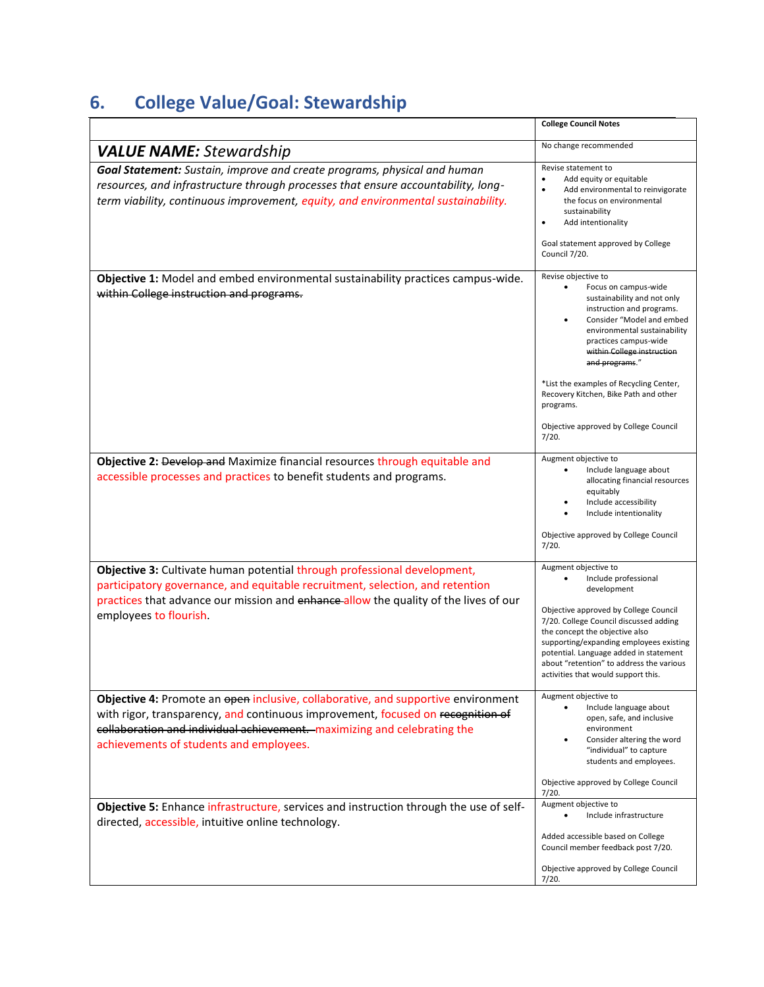# <span id="page-14-0"></span>**6. College Value/Goal: Stewardship**

|                                                                                                                                                                                                                                                                                             | <b>College Council Notes</b>                                                                                                                                                                                                                                                                                                                                                                     |
|---------------------------------------------------------------------------------------------------------------------------------------------------------------------------------------------------------------------------------------------------------------------------------------------|--------------------------------------------------------------------------------------------------------------------------------------------------------------------------------------------------------------------------------------------------------------------------------------------------------------------------------------------------------------------------------------------------|
| <b>VALUE NAME:</b> Stewardship                                                                                                                                                                                                                                                              | No change recommended                                                                                                                                                                                                                                                                                                                                                                            |
| Goal Statement: Sustain, improve and create programs, physical and human<br>resources, and infrastructure through processes that ensure accountability, long-<br>term viability, continuous improvement, equity, and environmental sustainability.                                          | Revise statement to<br>Add equity or equitable<br>$\bullet$<br>Add environmental to reinvigorate<br>$\bullet$<br>the focus on environmental<br>sustainability<br>Add intentionality<br>$\bullet$<br>Goal statement approved by College<br>Council 7/20.                                                                                                                                          |
| Objective 1: Model and embed environmental sustainability practices campus-wide.<br>within College instruction and programs.                                                                                                                                                                | Revise objective to<br>Focus on campus-wide<br>sustainability and not only<br>instruction and programs.<br>Consider "Model and embed<br>environmental sustainability<br>practices campus-wide<br>within College instruction<br>and programs."<br>*List the examples of Recycling Center,<br>Recovery Kitchen, Bike Path and other<br>programs.<br>Objective approved by College Council<br>7/20. |
|                                                                                                                                                                                                                                                                                             |                                                                                                                                                                                                                                                                                                                                                                                                  |
| Objective 2: Develop and Maximize financial resources through equitable and<br>accessible processes and practices to benefit students and programs.                                                                                                                                         | Augment objective to<br>Include language about<br>allocating financial resources<br>equitably<br>Include accessibility<br>Include intentionality<br>Objective approved by College Council<br>7/20.                                                                                                                                                                                               |
| Objective 3: Cultivate human potential through professional development,<br>participatory governance, and equitable recruitment, selection, and retention<br>practices that advance our mission and enhance allow the quality of the lives of our<br>employees to flourish.                 | Augment objective to<br>Include professional<br>development<br>Objective approved by College Council<br>7/20. College Council discussed adding<br>the concept the objective also<br>supporting/expanding employees existing<br>potential. Language added in statement<br>about "retention" to address the various<br>activities that would support this.                                         |
| Objective 4: Promote an open inclusive, collaborative, and supportive environment<br>with rigor, transparency, and continuous improvement, focused on recognition of<br>collaboration and individual achievement. maximizing and celebrating the<br>achievements of students and employees. | Augment objective to<br>Include language about<br>open, safe, and inclusive<br>environment<br>Consider altering the word<br>"individual" to capture<br>students and employees.                                                                                                                                                                                                                   |
|                                                                                                                                                                                                                                                                                             | Objective approved by College Council<br>7/20.                                                                                                                                                                                                                                                                                                                                                   |
| Objective 5: Enhance infrastructure, services and instruction through the use of self-<br>directed, accessible, intuitive online technology.                                                                                                                                                | Augment objective to<br>Include infrastructure<br>$\bullet$                                                                                                                                                                                                                                                                                                                                      |
|                                                                                                                                                                                                                                                                                             | Added accessible based on College<br>Council member feedback post 7/20.                                                                                                                                                                                                                                                                                                                          |
|                                                                                                                                                                                                                                                                                             | Objective approved by College Council<br>7/20.                                                                                                                                                                                                                                                                                                                                                   |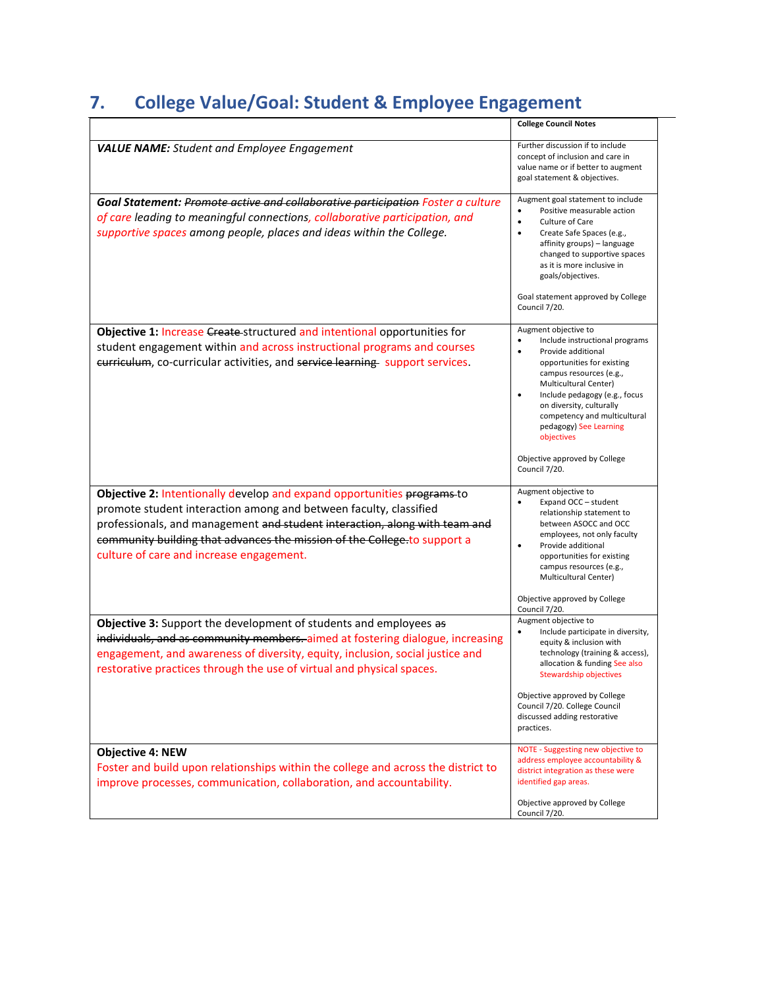# <span id="page-15-0"></span>**7. College Value/Goal: Student & Employee Engagement**

|                                                                                                                                                                                                                                                                                                                                                    | <b>College Council Notes</b>                                                                                                                                                                                                                                                                                                                                       |
|----------------------------------------------------------------------------------------------------------------------------------------------------------------------------------------------------------------------------------------------------------------------------------------------------------------------------------------------------|--------------------------------------------------------------------------------------------------------------------------------------------------------------------------------------------------------------------------------------------------------------------------------------------------------------------------------------------------------------------|
| <b>VALUE NAME:</b> Student and Employee Engagement                                                                                                                                                                                                                                                                                                 | Further discussion if to include<br>concept of inclusion and care in<br>value name or if better to augment<br>goal statement & objectives.                                                                                                                                                                                                                         |
| Goal Statement: Promote active and collaborative participation Foster a culture<br>of care leading to meaningful connections, collaborative participation, and<br>supportive spaces among people, places and ideas within the College.                                                                                                             | Augment goal statement to include<br>Positive measurable action<br>$\bullet$<br>Culture of Care<br>Create Safe Spaces (e.g.,<br>affinity groups) - language<br>changed to supportive spaces<br>as it is more inclusive in<br>goals/objectives.<br>Goal statement approved by College<br>Council 7/20.                                                              |
| Objective 1: Increase Create-structured and intentional opportunities for<br>student engagement within and across instructional programs and courses<br>eurriculum, co-curricular activities, and service learning support services.                                                                                                               | Augment objective to<br>Include instructional programs<br>Provide additional<br>opportunities for existing<br>campus resources (e.g.,<br>Multicultural Center)<br>$\bullet$<br>Include pedagogy (e.g., focus<br>on diversity, culturally<br>competency and multicultural<br>pedagogy) See Learning<br>objectives<br>Objective approved by College<br>Council 7/20. |
| Objective 2: Intentionally develop and expand opportunities programs-to<br>promote student interaction among and between faculty, classified<br>professionals, and management and student interaction, along with team and<br>community building that advances the mission of the College to support a<br>culture of care and increase engagement. | Augment objective to<br>Expand OCC - student<br>relationship statement to<br>between ASOCC and OCC<br>employees, not only faculty<br>Provide additional<br>$\bullet$<br>opportunities for existing<br>campus resources (e.g.,<br>Multicultural Center)<br>Objective approved by College                                                                            |
| Objective 3: Support the development of students and employees as<br>individuals, and as community members. aimed at fostering dialogue, increasing<br>engagement, and awareness of diversity, equity, inclusion, social justice and<br>restorative practices through the use of virtual and physical spaces.                                      | Council 7/20.<br>Augment objective to<br>Include participate in diversity,<br>$\bullet$<br>equity & inclusion with<br>technology (training & access),<br>allocation & funding See also<br>Stewardship objectives<br>Objective approved by College<br>Council 7/20. College Council<br>discussed adding restorative<br>practices.                                   |
| <b>Objective 4: NEW</b><br>Foster and build upon relationships within the college and across the district to<br>improve processes, communication, collaboration, and accountability.                                                                                                                                                               | NOTE - Suggesting new objective to<br>address employee accountability &<br>district integration as these were<br>identified gap areas.<br>Objective approved by College<br>Council 7/20.                                                                                                                                                                           |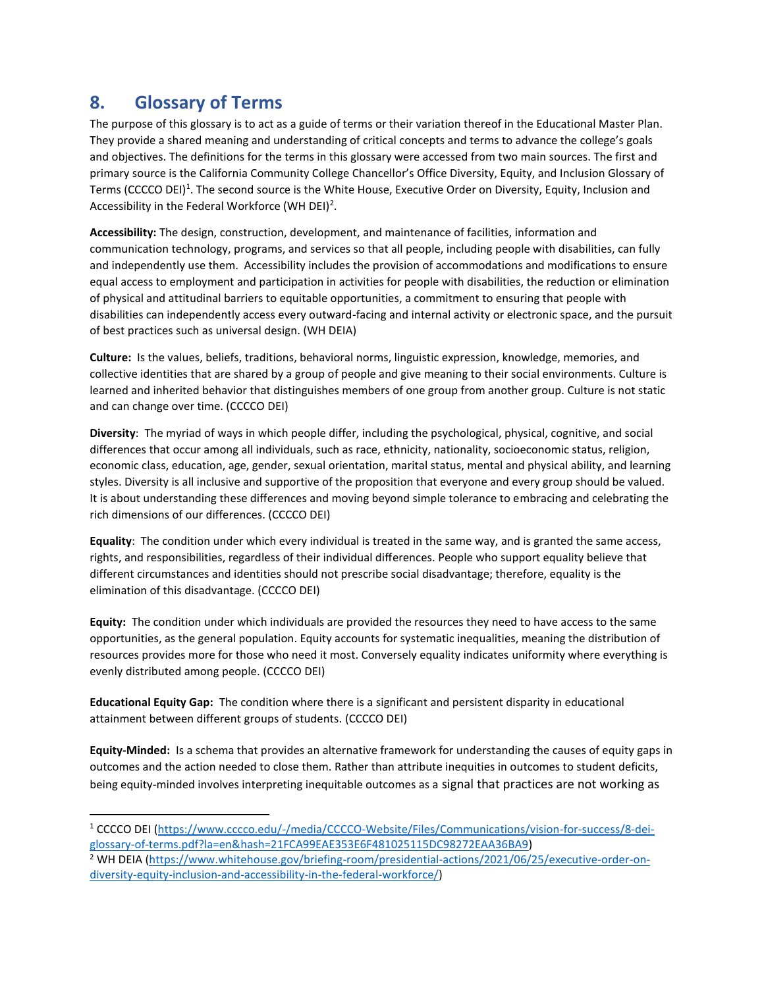### <span id="page-16-0"></span>**8. Glossary of Terms**

The purpose of this glossary is to act as a guide of terms or their variation thereof in the Educational Master Plan. They provide a shared meaning and understanding of critical concepts and terms to advance the college's goals and objectives. The definitions for the terms in this glossary were accessed from two main sources. The first and primary source is the California Community College Chancellor's Office Diversity, Equity, and Inclusion Glossary of Terms (CCCCO DEI)<sup>1</sup>. The second source is the White House, Executive Order on Diversity, Equity, Inclusion and Accessibility in the Federal Workforce (WH DEI)<sup>2</sup>.

**Accessibility:** The design, construction, development, and maintenance of facilities, information and communication technology, programs, and services so that all people, including people with disabilities, can fully and independently use them. Accessibility includes the provision of accommodations and modifications to ensure equal access to employment and participation in activities for people with disabilities, the reduction or elimination of physical and attitudinal barriers to equitable opportunities, a commitment to ensuring that people with disabilities can independently access every outward-facing and internal activity or electronic space, and the pursuit of best practices such as universal design. (WH DEIA)

**Culture:** Is the values, beliefs, traditions, behavioral norms, linguistic expression, knowledge, memories, and collective identities that are shared by a group of people and give meaning to their social environments. Culture is learned and inherited behavior that distinguishes members of one group from another group. Culture is not static and can change over time. (CCCCO DEI)

**Diversity**: The myriad of ways in which people differ, including the psychological, physical, cognitive, and social differences that occur among all individuals, such as race, ethnicity, nationality, socioeconomic status, religion, economic class, education, age, gender, sexual orientation, marital status, mental and physical ability, and learning styles. Diversity is all inclusive and supportive of the proposition that everyone and every group should be valued. It is about understanding these differences and moving beyond simple tolerance to embracing and celebrating the rich dimensions of our differences. (CCCCO DEI)

**Equality**: The condition under which every individual is treated in the same way, and is granted the same access, rights, and responsibilities, regardless of their individual differences. People who support equality believe that different circumstances and identities should not prescribe social disadvantage; therefore, equality is the elimination of this disadvantage. (CCCCO DEI)

**Equity:** The condition under which individuals are provided the resources they need to have access to the same opportunities, as the general population. Equity accounts for systematic inequalities, meaning the distribution of resources provides more for those who need it most. Conversely equality indicates uniformity where everything is evenly distributed among people. (CCCCO DEI)

**Educational Equity Gap:** The condition where there is a significant and persistent disparity in educational attainment between different groups of students. (CCCCO DEI)

**Equity-Minded:** Is a schema that provides an alternative framework for understanding the causes of equity gaps in outcomes and the action needed to close them. Rather than attribute inequities in outcomes to student deficits, being equity-minded involves interpreting inequitable outcomes as a signal that practices are not working as

<sup>1</sup> CCCCO DEI [\(https://www.cccco.edu/-/media/CCCCO-Website/Files/Communications/vision-for-success/8-dei](https://www.cccco.edu/-/media/CCCCO-Website/Files/Communications/vision-for-success/8-dei-glossary-of-terms.pdf?la=en&hash=21FCA99EAE353E6F481025115DC98272EAA36BA9)[glossary-of-terms.pdf?la=en&hash=21FCA99EAE353E6F481025115DC98272EAA36BA9\)](https://www.cccco.edu/-/media/CCCCO-Website/Files/Communications/vision-for-success/8-dei-glossary-of-terms.pdf?la=en&hash=21FCA99EAE353E6F481025115DC98272EAA36BA9)

<sup>2</sup> WH DEIA [\(https://www.whitehouse.gov/briefing-room/presidential-actions/2021/06/25/executive-order-on](https://www.whitehouse.gov/briefing-room/presidential-actions/2021/06/25/executive-order-on-diversity-equity-inclusion-and-accessibility-in-the-federal-workforce/)[diversity-equity-inclusion-and-accessibility-in-the-federal-workforce/\)](https://www.whitehouse.gov/briefing-room/presidential-actions/2021/06/25/executive-order-on-diversity-equity-inclusion-and-accessibility-in-the-federal-workforce/)